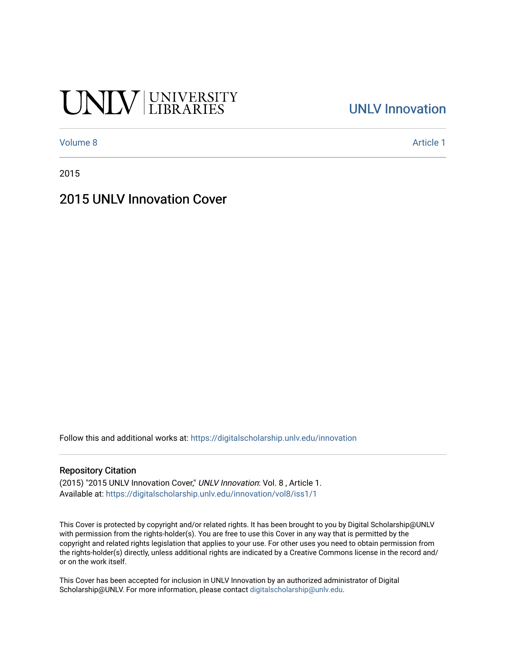## UNIV UNIVERSITY

### [UNLV Innovation](https://digitalscholarship.unlv.edu/innovation)

[Volume 8](https://digitalscholarship.unlv.edu/innovation/vol8) Article 1

2015

### 2015 UNLV Innovation Cover

Follow this and additional works at: [https://digitalscholarship.unlv.edu/innovation](https://digitalscholarship.unlv.edu/innovation?utm_source=digitalscholarship.unlv.edu%2Finnovation%2Fvol8%2Fiss1%2F1&utm_medium=PDF&utm_campaign=PDFCoverPages) 

#### Repository Citation

(2015) "2015 UNLV Innovation Cover," UNLV Innovation: Vol. 8 , Article 1. Available at: [https://digitalscholarship.unlv.edu/innovation/vol8/iss1/1](https://digitalscholarship.unlv.edu/innovation/vol8/iss1/1?utm_source=digitalscholarship.unlv.edu%2Finnovation%2Fvol8%2Fiss1%2F1&utm_medium=PDF&utm_campaign=PDFCoverPages) 

This Cover is protected by copyright and/or related rights. It has been brought to you by Digital Scholarship@UNLV with permission from the rights-holder(s). You are free to use this Cover in any way that is permitted by the copyright and related rights legislation that applies to your use. For other uses you need to obtain permission from the rights-holder(s) directly, unless additional rights are indicated by a Creative Commons license in the record and/ or on the work itself.

This Cover has been accepted for inclusion in UNLV Innovation by an authorized administrator of Digital Scholarship@UNLV. For more information, please contact [digitalscholarship@unlv.edu.](mailto:digitalscholarship@unlv.edu)